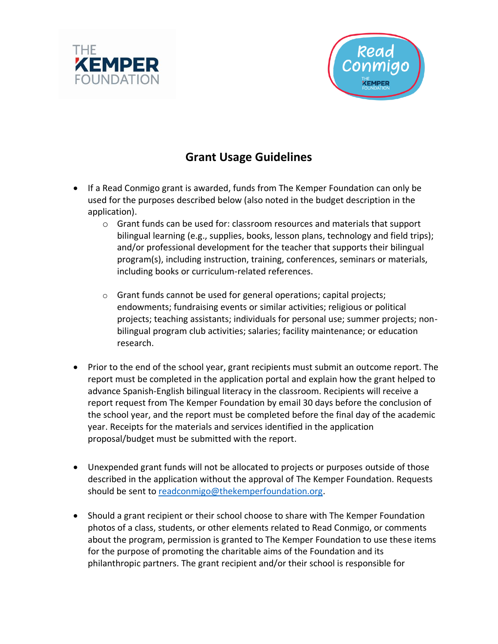



## **Grant Usage Guidelines**

- If a Read Conmigo grant is awarded, funds from The Kemper Foundation can only be used for the purposes described below (also noted in the budget description in the application).
	- o Grant funds can be used for: classroom resources and materials that support bilingual learning (e.g., supplies, books, lesson plans, technology and field trips); and/or professional development for the teacher that supports their bilingual program(s), including instruction, training, conferences, seminars or materials, including books or curriculum-related references.
	- o Grant funds cannot be used for general operations; capital projects; endowments; fundraising events or similar activities; religious or political projects; teaching assistants; individuals for personal use; summer projects; nonbilingual program club activities; salaries; facility maintenance; or education research.
- Prior to the end of the school year, grant recipients must submit an outcome report. The report must be completed in the application portal and explain how the grant helped to advance Spanish-English bilingual literacy in the classroom. Recipients will receive a report request from The Kemper Foundation by email 30 days before the conclusion of the school year, and the report must be completed before the final day of the academic year. Receipts for the materials and services identified in the application proposal/budget must be submitted with the report.
- Unexpended grant funds will not be allocated to projects or purposes outside of those described in the application without the approval of The Kemper Foundation. Requests should be sent to [readconmigo@thekemperfoundation.org.](mailto:readconmigo@thekemperfoundation.org)
- Should a grant recipient or their school choose to share with The Kemper Foundation photos of a class, students, or other elements related to Read Conmigo, or comments about the program, permission is granted to The Kemper Foundation to use these items for the purpose of promoting the charitable aims of the Foundation and its philanthropic partners. The grant recipient and/or their school is responsible for